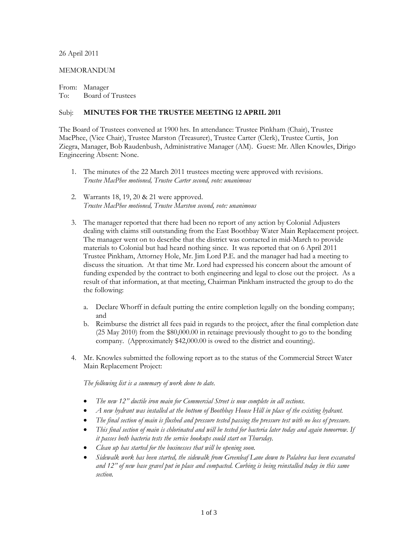## 26 April 2011

## MEMORANDUM

From: Manager To: Board of Trustees

## Subj: **MINUTES FOR THE TRUSTEE MEETING 12 APRIL 2011**

The Board of Trustees convened at 1900 hrs. In attendance: Trustee Pinkham (Chair), Trustee MacPhee, (Vice Chair), Trustee Marston (Treasurer), Trustee Carter (Clerk), Trustee Curtis, Jon Ziegra, Manager, Bob Raudenbush, Administrative Manager (AM). Guest: Mr. Allen Knowles, Dirigo Engineering Absent: None.

- 1. The minutes of the 22 March 2011 trustees meeting were approved with revisions. *Trustee MacPhee motioned, Trustee Carter second, vote: unanimous*
- 2. Warrants 18, 19, 20 & 21 were approved. *Trustee MacPhee motioned, Trustee Marston second, vote: unanimous*
- 3. The manager reported that there had been no report of any action by Colonial Adjusters dealing with claims still outstanding from the East Boothbay Water Main Replacement project. The manager went on to describe that the district was contacted in mid-March to provide materials to Colonial but had heard nothing since. It was reported that on 6 April 2011 Trustee Pinkham, Attorney Hole, Mr. Jim Lord P.E. and the manager had had a meeting to discuss the situation. At that time Mr. Lord had expressed his concern about the amount of funding expended by the contract to both engineering and legal to close out the project. As a result of that information, at that meeting, Chairman Pinkham instructed the group to do the the following:
	- a. Declare Whorff in default putting the entire completion legally on the bonding company; and
	- b. Reimburse the district all fees paid in regards to the project, after the final completion date (25 May 2010) from the \$80,000.00 in retainage previously thought to go to the bonding company. (Approximately \$42,000.00 is owed to the district and counting).
- 4. Mr. Knowles submitted the following report as to the status of the Commercial Street Water Main Replacement Project:

*The following list is a summary of work done to date.*

- *The new 12" ductile iron main for Commercial Street is now complete in all sections.*
- *A new hydrant was installed at the bottom of Boothbay House Hill in place of the existing hydrant.*
- *The final section of main is flushed and pressure tested passing the pressure test with no loss of pressure.*
- *This final section of main is chlorinated and will be tested for bacteria later today and again tomorrow. If it passes both bacteria tests the service hookups could start on Thursday.*
- *Clean up has started for the businesses that will be opening soon.*
- *Sidewalk work has been started, the sidewalk from Greenleaf Lane down to Palabra has been excavated and 12" of new base gravel put in place and compacted. Curbing is being reinstalled today in this same section.*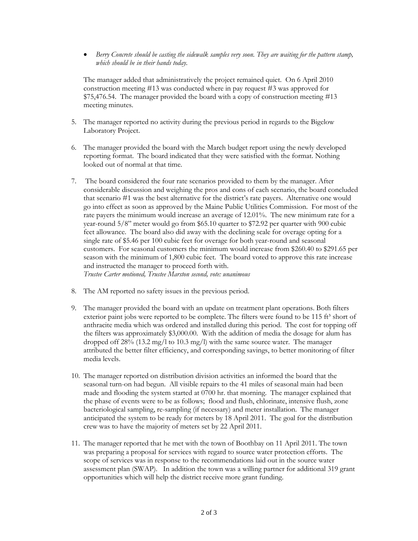• *Berry Concrete should be casting the sidewalk samples very soon. They are waiting for the pattern stamp, which should be in their hands today.*

The manager added that administratively the project remained quiet. On 6 April 2010 construction meeting #13 was conducted where in pay request #3 was approved for \$75,476.54. The manager provided the board with a copy of construction meeting #13 meeting minutes.

- 5. The manager reported no activity during the previous period in regards to the Bigelow Laboratory Project.
- 6. The manager provided the board with the March budget report using the newly developed reporting format. The board indicated that they were satisfied with the format. Nothing looked out of normal at that time.
- 7. The board considered the four rate scenarios provided to them by the manager. After considerable discussion and weighing the pros and cons of each scenario, the board concluded that scenario #1 was the best alternative for the district's rate payers. Alternative one would go into effect as soon as approved by the Maine Public Utilities Commission. For most of the rate payers the minimum would increase an average of 12.01%. The new minimum rate for a year-round 5/8" meter would go from \$65.10 quarter to \$72.92 per quarter with 900 cubic feet allowance. The board also did away with the declining scale for overage opting for a single rate of \$5.46 per 100 cubic feet for overage for both year-round and seasonal customers. For seasonal customers the minimum would increase from \$260.40 to \$291.65 per season with the minimum of 1,800 cubic feet. The board voted to approve this rate increase and instructed the manager to proceed forth with. *Trustee Carter motioned, Trustee Marston second, vote: unanimous*
- 8. The AM reported no safety issues in the previous period.
- 9. The manager provided the board with an update on treatment plant operations. Both filters exterior paint jobs were reported to be complete. The filters were found to be 115 ft<sup>3</sup> short of anthracite media which was ordered and installed during this period. The cost for topping off the filters was approximately \$3,000.00. With the addition of media the dosage for alum has dropped off 28% (13.2 mg/l to 10.3 mg/l) with the same source water. The manager attributed the better filter efficiency, and corresponding savings, to better monitoring of filter media levels.
- 10. The manager reported on distribution division activities an informed the board that the seasonal turn-on had begun. All visible repairs to the 41 miles of seasonal main had been made and flooding the system started at 0700 hr. that morning. The manager explained that the phase of events were to be as follows; flood and flush, chlorinate, intensive flush, zone bacteriological sampling, re-sampling (if necessary) and meter installation. The manager anticipated the system to be ready for meters by 18 April 2011. The goal for the distribution crew was to have the majority of meters set by 22 April 2011.
- 11. The manager reported that he met with the town of Boothbay on 11 April 2011. The town was preparing a proposal for services with regard to source water protection efforts. The scope of services was in response to the recommendations laid out in the source water assessment plan (SWAP). In addition the town was a willing partner for additional 319 grant opportunities which will help the district receive more grant funding.